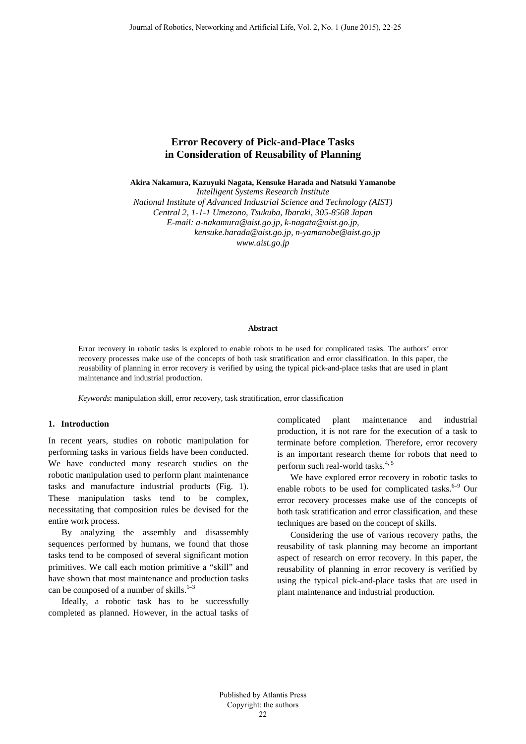# **Error Recovery of Pick-and-Place Tasks in Consideration of Reusability of Planning**

**Akira Nakamura, Kazuyuki Nagata, Kensuke Harada and Natsuki Yamanobe**

*Intelligent Systems Research Institute*

*National Institute of Advanced Industrial Science and Technology (AIST) Central 2, 1-1-1 Umezono, Tsukuba, Ibaraki, 305-8568 Japan E-mail: a-nakamura@aist.go.jp, k-nagata@aist.go.jp, kensuke.harada@aist.go.jp, n-yamanobe@aist.go.jp www.aist.go.jp*

#### **Abstract**

Error recovery in robotic tasks is explored to enable robots to be used for complicated tasks. The authors' error recovery processes make use of the concepts of both task stratification and error classification. In this paper, the reusability of planning in error recovery is verified by using the typical pick-and-place tasks that are used in plant maintenance and industrial production.

*Keywords*: manipulation skill, error recovery, task stratification, error classification

## **1. Introduction**

In recent years, studies on robotic manipulation for performing tasks in various fields have been conducted. We have conducted many research studies on the robotic manipulation used to perform plant maintenance tasks and manufacture industrial products (Fig. 1). These manipulation tasks tend to be complex, necessitating that composition rules be devised for the entire work process.

By analyzing the assembly and disassembly sequences performed by humans, we found that those tasks tend to be composed of several significant motion primitives. We call each motion primitive a "skill" and have shown that most maintenance and production tasks can be composed of a number of skills.<sup>1-3</sup>

Ideally, a robotic task has to be successfully completed as planned. However, in the actual tasks of complicated plant maintenance and industrial production, it is not rare for the execution of a task to terminate before completion. Therefore, error recovery is an important research theme for robots that need to perform such real-world tasks. 4, 5

We have explored error recovery in robotic tasks to enable robots to be used for complicated tasks.<sup>6-9</sup> Our error recovery processes make use of the concepts of both task stratification and error classification, and these techniques are based on the concept of skills.

Considering the use of various recovery paths, the reusability of task planning may become an important aspect of research on error recovery. In this paper, the reusability of planning in error recovery is verified by using the typical pick-and-place tasks that are used in plant maintenance and industrial production.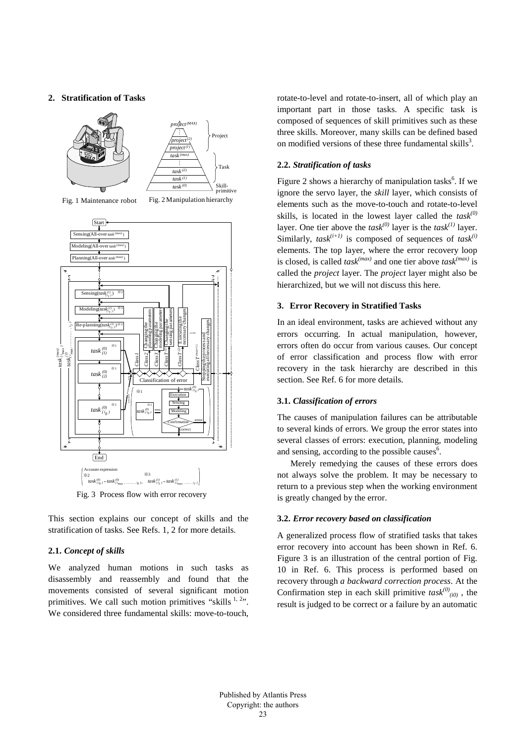## **2. Stratification of Tasks**



Fig. 1 Maintenance robot Fig. 2 Manipulation hierarchy



Fig. 3 Process flow with error recovery

This section explains our concept of skills and the stratification of tasks. See Refs. 1, 2 for more details.

## **2.1.** *Concept of skills*

We analyzed human motions in such tasks as disassembly and reassembly and found that the movements consisted of several significant motion primitives. We call such motion primitives "skills  $1, 2$ ". We considered three fundamental skills: move-to-touch, rotate-to-level and rotate-to-insert, all of which play an important part in those tasks. A specific task is composed of sequences of skill primitives such as these three skills. Moreover, many skills can be defined based on modified versions of these three fundamental skills<sup>3</sup>.

#### **2.2.** *Stratification of tasks*

Figure 2 shows a hierarchy of manipulation tasks<sup>6</sup>. If we ignore the servo layer, the *skill* layer, which consists of elements such as the move-to-touch and rotate-to-level skills, is located in the lowest layer called the *task(0)* layer. One tier above the  $task^{(0)}$  layer is the  $task^{(1)}$  layer. Similarly,  $task^{(i+1)}$  is composed of sequences of  $task^{(i)}$ elements. The top layer, where the error recovery loop is closed, is called *task(max)* and one tier above *task(max)* is called the *project* layer. The *project* layer might also be hierarchized, but we will not discuss this here.

## **3. Error Recovery in Stratified Tasks**

In an ideal environment, tasks are achieved without any errors occurring. In actual manipulation, however, errors often do occur from various causes. Our concept of error classification and process flow with error recovery in the task hierarchy are described in this section. See Ref. 6 for more details.

## **3.1.** *Classification of errors*

The causes of manipulation failures can be attributable to several kinds of errors. We group the error states into several classes of errors: execution, planning, modeling and sensing, according to the possible causes<sup>6</sup>.

Merely remedying the causes of these errors does not always solve the problem. It may be necessary to return to a previous step when the working environment is greatly changed by the error.

#### **3.2.** *Error recovery based on classification*

A generalized process flow of stratified tasks that takes error recovery into account has been shown in Ref. 6. Figure 3 is an illustration of the central portion of Fig. 10 in Ref. 6. This process is performed based on recovery through *a backward correction process*. At the Confirmation step in each skill primitive  $task^{(0)}_{(i0)}$ , the result is judged to be correct or a failure by an automatic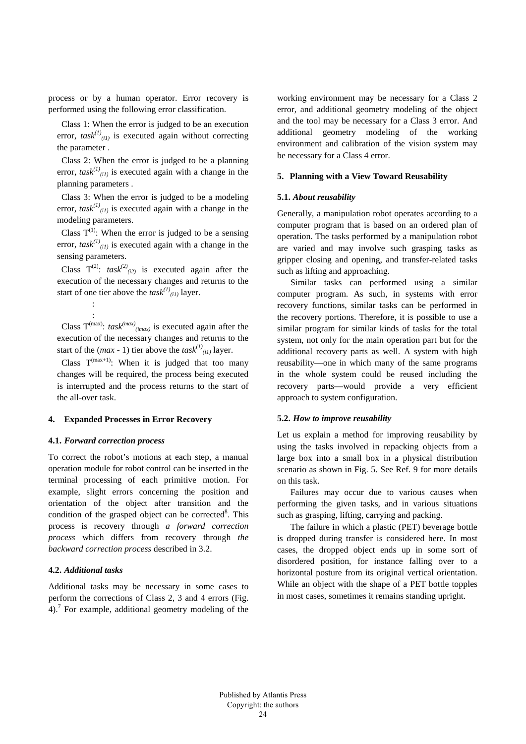process or by a human operator. Error recovery is performed using the following error classification.

Class 1: When the error is judged to be an execution error,  $task^{(1)}_{(il)}$  is executed again without correcting the parameter .

Class 2: When the error is judged to be a planning error,  $task^{(1)}_{(il)}$  is executed again with a change in the planning parameters .

Class 3: When the error is judged to be a modeling error,  $task^{(1)}_{(i)}$  is executed again with a change in the modeling parameters.

Class  $T^{(1)}$ : When the error is judged to be a sensing error,  $task^{(1)}_{(i)}$  is executed again with a change in the sensing parameters.

Class  $T^{(2)}$ :  $task^{(2)}_{(i2)}$  is executed again after the execution of the necessary changes and returns to the start of one tier above the  $task^{(1)}_{(il)}$  layer.

: Class  $T^{(max)}$ : *task*<sup>(*max*)</sup><sub>(*imax*)</sub> is executed again after the execution of the necessary changes and returns to the start of the  $(max - 1)$  tier above the  $task^{(1)}_{(il)}$  layer.

Class  $T^{(max+1)}$ : When it is judged that too many changes will be required, the process being executed is interrupted and the process returns to the start of the all-over task.

## **4. Expanded Processes in Error Recovery**

#### **4.1.** *Forward correction process*

:

To correct the robot's motions at each step, a manual operation module for robot control can be inserted in the terminal processing of each primitive motion. For example, slight errors concerning the position and orientation of the object after transition and the condition of the grasped object can be corrected<sup>8</sup>. This process is recovery through *a forward correction process* which differs from recovery through *the backward correction process* described in 3.2.

#### **4.2.** *Additional tasks*

Additional tasks may be necessary in some cases to perform the corrections of Class 2, 3 and 4 errors (Fig. 4). <sup>7</sup> For example, additional geometry modeling of the working environment may be necessary for a Class 2 error, and additional geometry modeling of the object and the tool may be necessary for a Class 3 error. And additional geometry modeling of the working environment and calibration of the vision system may be necessary for a Class 4 error.

## **5. Planning with a View Toward Reusability**

## **5.1.** *About reusability*

Generally, a manipulation robot operates according to a computer program that is based on an ordered plan of operation. The tasks performed by a manipulation robot are varied and may involve such grasping tasks as gripper closing and opening, and transfer-related tasks such as lifting and approaching.

Similar tasks can performed using a similar computer program. As such, in systems with error recovery functions, similar tasks can be performed in the recovery portions. Therefore, it is possible to use a similar program for similar kinds of tasks for the total system, not only for the main operation part but for the additional recovery parts as well. A system with high reusability—one in which many of the same programs in the whole system could be reused including the recovery parts—would provide a very efficient approach to system configuration.

### **5.2.** *How to improve reusability*

Let us explain a method for improving reusability by using the tasks involved in repacking objects from a large box into a small box in a physical distribution scenario as shown in Fig. 5. See Ref. 9 for more details on this task.

Failures may occur due to various causes when performing the given tasks, and in various situations such as grasping, lifting, carrying and packing.

The failure in which a plastic (PET) beverage bottle is dropped during transfer is considered here. In most cases, the dropped object ends up in some sort of disordered position, for instance falling over to a horizontal posture from its original vertical orientation. While an object with the shape of a PET bottle topples in most cases, sometimes it remains standing upright.